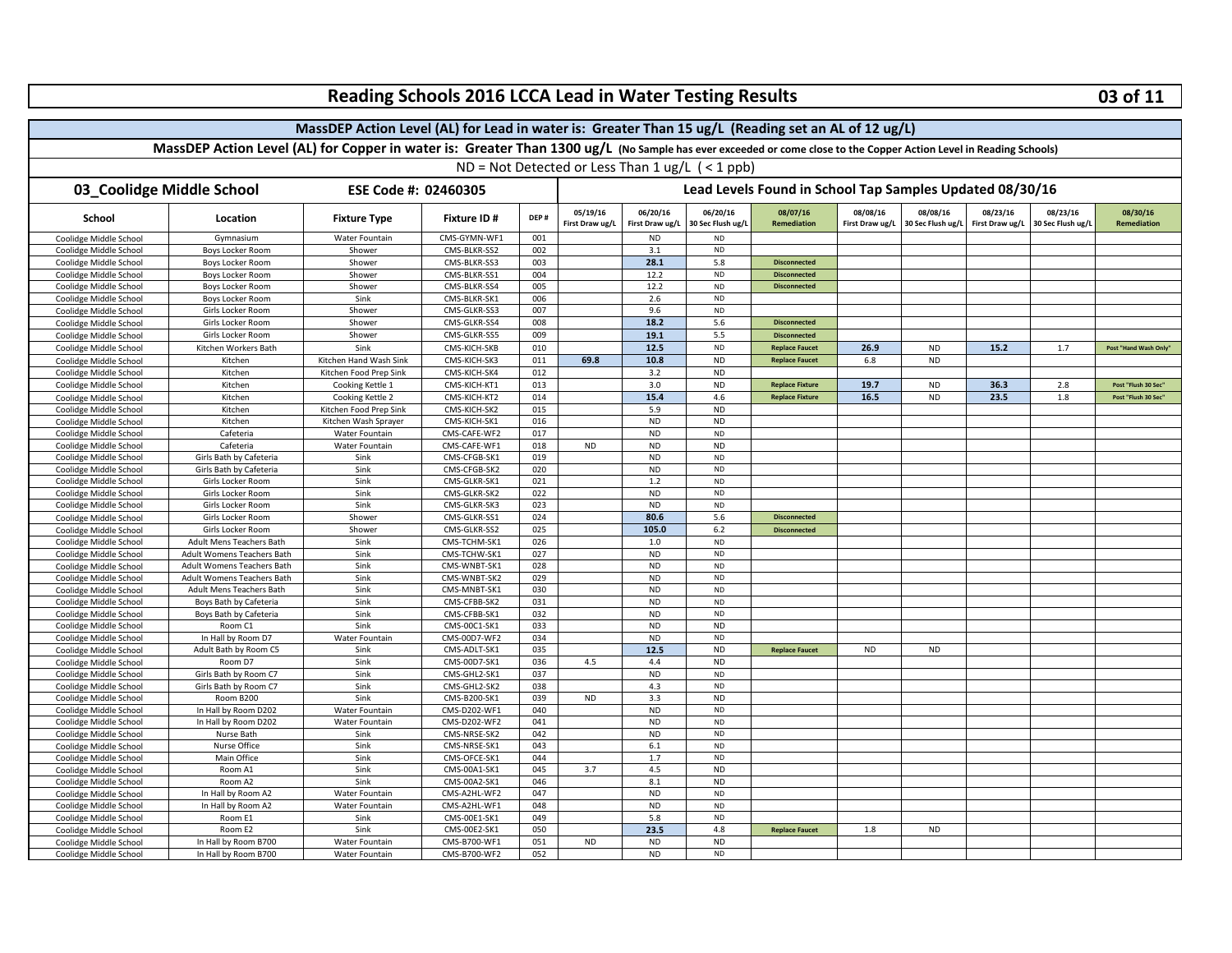|                                                                                                                                                                    | Reading Schools 2016 LCCA Lead in Water Testing Results |                        |                              |            |                 |                                                                                                                  |                       |                                            |                 |                   |                 | 03 of 11          |                             |  |  |
|--------------------------------------------------------------------------------------------------------------------------------------------------------------------|---------------------------------------------------------|------------------------|------------------------------|------------|-----------------|------------------------------------------------------------------------------------------------------------------|-----------------------|--------------------------------------------|-----------------|-------------------|-----------------|-------------------|-----------------------------|--|--|
| MassDEP Action Level (AL) for Lead in water is: Greater Than 15 ug/L (Reading set an AL of 12 ug/L)                                                                |                                                         |                        |                              |            |                 |                                                                                                                  |                       |                                            |                 |                   |                 |                   |                             |  |  |
| MassDEP Action Level (AL) for Copper in water is: Greater Than 1300 ug/L (No Sample has ever exceeded or come close to the Copper Action Level in Reading Schools) |                                                         |                        |                              |            |                 |                                                                                                                  |                       |                                            |                 |                   |                 |                   |                             |  |  |
|                                                                                                                                                                    |                                                         |                        |                              |            |                 |                                                                                                                  |                       |                                            |                 |                   |                 |                   |                             |  |  |
| 03_Coolidge Middle School<br>ESE Code #: 02460305                                                                                                                  |                                                         |                        |                              |            |                 | $ND = Not$ Detected or Less Than 1 ug/L $($ < 1 ppb)<br>Lead Levels Found in School Tap Samples Updated 08/30/16 |                       |                                            |                 |                   |                 |                   |                             |  |  |
|                                                                                                                                                                    |                                                         |                        |                              |            | 05/19/16        | 06/20/16<br>06/20/16<br>08/08/16<br>08/08/16<br>08/23/16<br>08/07/16<br>08/23/16<br>08/30/16                     |                       |                                            |                 |                   |                 |                   |                             |  |  |
| School                                                                                                                                                             | Location                                                | <b>Fixture Type</b>    | Fixture ID #                 | DEP#       | First Draw ug/L | First Draw ug/L                                                                                                  | 30 Sec Flush ug/L     | Remediation                                | First Draw ug/L | 30 Sec Flush ug/L | First Draw ug/L | 30 Sec Flush ug/L | Remediation                 |  |  |
| Coolidge Middle School                                                                                                                                             | Gymnasium                                               | Water Fountain         | CMS-GYMN-WF1                 | 001        |                 | <b>ND</b>                                                                                                        | <b>ND</b>             |                                            |                 |                   |                 |                   |                             |  |  |
| Coolidge Middle School                                                                                                                                             | <b>Boys Locker Room</b>                                 | Shower                 | CMS-BLKR-SS2<br>CMS-BLKR-SS3 | 002<br>003 |                 | 3.1<br>28.1                                                                                                      | <b>ND</b><br>5.8      |                                            |                 |                   |                 |                   |                             |  |  |
| Coolidge Middle School<br>Coolidge Middle School                                                                                                                   | Boys Locker Room<br>Boys Locker Room                    | Shower<br>Shower       | CMS-BLKR-SS1                 | 004        |                 | 12.2                                                                                                             | <b>ND</b>             | <b>Disconnected</b><br><b>Disconnected</b> |                 |                   |                 |                   |                             |  |  |
| Coolidge Middle School                                                                                                                                             | <b>Boys Locker Room</b>                                 | Shower                 | CMS-BLKR-SS4                 | 005        |                 | 12.2                                                                                                             | <b>ND</b>             | <b>Disconnected</b>                        |                 |                   |                 |                   |                             |  |  |
| Coolidge Middle School                                                                                                                                             | <b>Boys Locker Room</b>                                 | Sink                   | CMS-BLKR-SK1                 | 006        |                 | 2.6                                                                                                              | <b>ND</b>             |                                            |                 |                   |                 |                   |                             |  |  |
| Coolidge Middle School                                                                                                                                             | Girls Locker Room                                       | Shower                 | CMS-GLKR-SS3                 | 007        |                 | 9.6                                                                                                              | $\sf ND$              |                                            |                 |                   |                 |                   |                             |  |  |
| Coolidge Middle School                                                                                                                                             | Girls Locker Room                                       | Shower                 | CMS-GLKR-SS4                 | 008        |                 | 18.2                                                                                                             | 5.6                   | <b>Disconnected</b>                        |                 |                   |                 |                   |                             |  |  |
| Coolidge Middle School                                                                                                                                             | Girls Locker Room                                       | Shower                 | CMS-GLKR-SS5                 | 009        |                 | 19.1                                                                                                             | 5.5                   | <b>Disconnected</b>                        |                 |                   |                 |                   |                             |  |  |
| Coolidge Middle School                                                                                                                                             | Kitchen Workers Bath                                    | Sink                   | CMS-KICH-SKB                 | 010        |                 | 12.5                                                                                                             | <b>ND</b>             | <b>Replace Faucet</b>                      | 26.9            | <b>ND</b>         | 15.2            | 1.7               | <b>Post "Hand Wash Only</b> |  |  |
| Coolidge Middle School                                                                                                                                             | Kitchen                                                 | Kitchen Hand Wash Sink | CMS-KICH-SK3                 | 011        | 69.8            | 10.8                                                                                                             | <b>ND</b>             | <b>Replace Faucet</b>                      | 6.8             | <b>ND</b>         |                 |                   |                             |  |  |
| Coolidge Middle School                                                                                                                                             | Kitchen                                                 | Kitchen Food Prep Sink | CMS-KICH-SK4                 | 012        |                 | 3.2                                                                                                              | <b>ND</b>             |                                            |                 |                   |                 |                   |                             |  |  |
| Coolidge Middle School                                                                                                                                             | Kitchen                                                 | Cooking Kettle 1       | CMS-KICH-KT1                 | 013        |                 | 3.0                                                                                                              | <b>ND</b>             | <b>Replace Fixture</b>                     | 19.7            | <b>ND</b>         | 36.3            | 2.8               | Post "Flush 30 Sec'         |  |  |
| Coolidge Middle School                                                                                                                                             | Kitchen                                                 | Cooking Kettle 2       | CMS-KICH-KT2                 | 014        |                 | 15.4                                                                                                             | 4.6                   | <b>Replace Fixture</b>                     | 16.5            | <b>ND</b>         | 23.5            | 1.8               | Post "Flush 30 Sec"         |  |  |
| Coolidge Middle School                                                                                                                                             | Kitchen                                                 | Kitchen Food Prep Sink | CMS-KICH-SK2                 | 015        |                 | 5.9                                                                                                              | <b>ND</b>             |                                            |                 |                   |                 |                   |                             |  |  |
| Coolidge Middle School                                                                                                                                             | Kitchen                                                 | Kitchen Wash Sprayer   | CMS-KICH-SK1                 | 016        |                 | <b>ND</b>                                                                                                        | <b>ND</b>             |                                            |                 |                   |                 |                   |                             |  |  |
| Coolidge Middle School                                                                                                                                             | Cafeteria                                               | Water Fountain         | CMS-CAFE-WF2                 | 017        |                 | <b>ND</b>                                                                                                        | <b>ND</b>             |                                            |                 |                   |                 |                   |                             |  |  |
| Coolidge Middle School                                                                                                                                             | Cafeteria                                               | Water Fountain         | CMS-CAFE-WF1                 | 018        | <b>ND</b>       | <b>ND</b>                                                                                                        | <b>ND</b>             |                                            |                 |                   |                 |                   |                             |  |  |
| Coolidge Middle School                                                                                                                                             | Girls Bath by Cafeteria                                 | Sink                   | CMS-CFGB-SK1                 | 019        |                 | <b>ND</b>                                                                                                        | <b>ND</b>             |                                            |                 |                   |                 |                   |                             |  |  |
| Coolidge Middle School                                                                                                                                             | Girls Bath by Cafeteria                                 | Sink                   | CMS-CFGB-SK2                 | 020        |                 | ND                                                                                                               | <b>ND</b>             |                                            |                 |                   |                 |                   |                             |  |  |
| Coolidge Middle School                                                                                                                                             | Girls Locker Room                                       | Sink                   | CMS-GLKR-SK1                 | 021        |                 | $1.2\,$                                                                                                          | <b>ND</b>             |                                            |                 |                   |                 |                   |                             |  |  |
| Coolidge Middle School                                                                                                                                             | Girls Locker Room                                       | Sink                   | CMS-GLKR-SK2                 | 022        |                 | <b>ND</b>                                                                                                        | $\sf ND$              |                                            |                 |                   |                 |                   |                             |  |  |
| Coolidge Middle School                                                                                                                                             | Girls Locker Room                                       | Sink                   | CMS-GLKR-SK3                 | 023        |                 | <b>ND</b>                                                                                                        | <b>ND</b>             |                                            |                 |                   |                 |                   |                             |  |  |
| Coolidge Middle School                                                                                                                                             | Girls Locker Room                                       | Shower                 | CMS-GLKR-SS1                 | 024        |                 | 80.6                                                                                                             | 5.6                   | <b>Disconnected</b>                        |                 |                   |                 |                   |                             |  |  |
| Coolidge Middle School                                                                                                                                             | Girls Locker Room                                       | Shower                 | CMS-GLKR-SS2                 | 025        |                 | 105.0                                                                                                            | 6.2                   | <b>Disconnected</b>                        |                 |                   |                 |                   |                             |  |  |
| Coolidge Middle School                                                                                                                                             | <b>Adult Mens Teachers Bath</b>                         | Sink                   | CMS-TCHM-SK1                 | 026        |                 | 1.0                                                                                                              | <b>ND</b>             |                                            |                 |                   |                 |                   |                             |  |  |
| Coolidge Middle School                                                                                                                                             | Adult Womens Teachers Bath                              | Sink                   | CMS-TCHW-SK1                 | 027        |                 | <b>ND</b>                                                                                                        | ${\sf ND}$            |                                            |                 |                   |                 |                   |                             |  |  |
| Coolidge Middle School                                                                                                                                             | Adult Womens Teachers Bath                              | Sink                   | CMS-WNBT-SK1                 | 028        |                 | <b>ND</b>                                                                                                        | $\sf ND$              |                                            |                 |                   |                 |                   |                             |  |  |
| Coolidge Middle School                                                                                                                                             | Adult Womens Teachers Bath                              | Sink                   | CMS-WNBT-SK2                 | 029        |                 | <b>ND</b>                                                                                                        | <b>ND</b>             |                                            |                 |                   |                 |                   |                             |  |  |
| Coolidge Middle School                                                                                                                                             | Adult Mens Teachers Bath                                | Sink                   | CMS-MNBT-SK1                 | 030        |                 | <b>ND</b>                                                                                                        | <b>ND</b>             |                                            |                 |                   |                 |                   |                             |  |  |
| Coolidge Middle School                                                                                                                                             | Boys Bath by Cafeteria                                  | Sink                   | CMS-CFBB-SK2                 | 031        |                 | <b>ND</b>                                                                                                        | <b>ND</b>             |                                            |                 |                   |                 |                   |                             |  |  |
| Coolidge Middle School                                                                                                                                             | Boys Bath by Cafeteria                                  | Sink                   | CMS-CFBB-SK1                 | 032        |                 | <b>ND</b>                                                                                                        | <b>ND</b>             |                                            |                 |                   |                 |                   |                             |  |  |
| Coolidge Middle School                                                                                                                                             | Room C1                                                 | Sink                   | CMS-00C1-SK1                 | 033        |                 | ND                                                                                                               | <b>ND</b>             |                                            |                 |                   |                 |                   |                             |  |  |
| Coolidge Middle School                                                                                                                                             | In Hall by Room D7                                      | Water Fountain         | CMS-00D7-WF2                 | 034        |                 | <b>ND</b>                                                                                                        | $\sf ND$<br><b>ND</b> |                                            |                 |                   |                 |                   |                             |  |  |
| Coolidge Middle School                                                                                                                                             | Adult Bath by Room C5<br>Room D7                        | Sink<br>Sink           | CMS-ADLT-SK1<br>CMS-00D7-SK1 | 035<br>036 | 4.5             | 12.5<br>4.4                                                                                                      | <b>ND</b>             | <b>Replace Faucet</b>                      | <b>ND</b>       | <b>ND</b>         |                 |                   |                             |  |  |
| Coolidge Middle School                                                                                                                                             |                                                         | Sink                   |                              |            |                 | <b>ND</b>                                                                                                        | <b>ND</b>             |                                            |                 |                   |                 |                   |                             |  |  |
| Coolidge Middle School<br>Coolidge Middle School                                                                                                                   | Girls Bath by Room C7<br>Girls Bath by Room C7          | Sink                   | CMS-GHL2-SK1<br>CMS-GHL2-SK2 | 037<br>038 |                 | 4.3                                                                                                              | <b>ND</b>             |                                            |                 |                   |                 |                   |                             |  |  |
| Coolidge Middle School                                                                                                                                             | Room B200                                               | Sink                   | CMS-B200-SK1                 | 039        | <b>ND</b>       | 3.3                                                                                                              | <b>ND</b>             |                                            |                 |                   |                 |                   |                             |  |  |
| Coolidge Middle School                                                                                                                                             | In Hall by Room D202                                    | Water Fountain         | CMS-D202-WF1                 | 040        |                 | <b>ND</b>                                                                                                        | ${\sf ND}$            |                                            |                 |                   |                 |                   |                             |  |  |
| Coolidge Middle School                                                                                                                                             | In Hall by Room D202                                    | Water Fountain         | CMS-D202-WF2                 | 041        |                 | <b>ND</b>                                                                                                        | $\sf ND$              |                                            |                 |                   |                 |                   |                             |  |  |
| Coolidge Middle School                                                                                                                                             | Nurse Bath                                              | Sink                   | CMS-NRSE-SK2                 | 042        |                 | <b>ND</b>                                                                                                        | <b>ND</b>             |                                            |                 |                   |                 |                   |                             |  |  |
| Coolidge Middle School                                                                                                                                             | Nurse Office                                            | Sink                   | CMS-NRSE-SK1                 | 043        |                 | $6.1\,$                                                                                                          | <b>ND</b>             |                                            |                 |                   |                 |                   |                             |  |  |
| Coolidge Middle School                                                                                                                                             | Main Office                                             | Sink                   | CMS-OFCE-SK1                 | 044        |                 | 1.7                                                                                                              | <b>ND</b>             |                                            |                 |                   |                 |                   |                             |  |  |
| Coolidge Middle School                                                                                                                                             | Room A1                                                 | Sink                   | CMS-00A1-SK1                 | 045        | 3.7             | 4.5                                                                                                              | <b>ND</b>             |                                            |                 |                   |                 |                   |                             |  |  |
| Coolidge Middle School                                                                                                                                             | Room A2                                                 | Sink                   | CMS-00A2-SK1                 | 046        |                 | 8.1                                                                                                              | <b>ND</b>             |                                            |                 |                   |                 |                   |                             |  |  |
| Coolidge Middle School                                                                                                                                             | In Hall by Room A2                                      | Water Fountain         | CMS-A2HL-WF2                 | 047        |                 | <b>ND</b>                                                                                                        | <b>ND</b>             |                                            |                 |                   |                 |                   |                             |  |  |
| Coolidge Middle School                                                                                                                                             | In Hall by Room A2                                      | Water Fountain         | CMS-A2HL-WF1                 | 048        |                 | <b>ND</b>                                                                                                        | ${\sf ND}$            |                                            |                 |                   |                 |                   |                             |  |  |
| Coolidge Middle School                                                                                                                                             | Room E1                                                 | Sink                   | CMS-00E1-SK1                 | 049        |                 | 5.8                                                                                                              | <b>ND</b>             |                                            |                 |                   |                 |                   |                             |  |  |
| Coolidge Middle School                                                                                                                                             | Room E2                                                 | Sink                   | CMS-00E2-SK1                 | 050        |                 | 23.5                                                                                                             | 4.8                   | <b>Replace Faucet</b>                      | 1.8             | <b>ND</b>         |                 |                   |                             |  |  |
| Coolidge Middle School                                                                                                                                             | In Hall by Room B700                                    | Water Fountain         | CMS-B700-WF1                 | 051        | <b>ND</b>       | <b>ND</b>                                                                                                        | <b>ND</b>             |                                            |                 |                   |                 |                   |                             |  |  |
| Coolidge Middle School                                                                                                                                             | In Hall by Room B700                                    | Water Fountain         | CMS-B700-WF2                 | 052        |                 | <b>ND</b>                                                                                                        | <b>ND</b>             |                                            |                 |                   |                 |                   |                             |  |  |